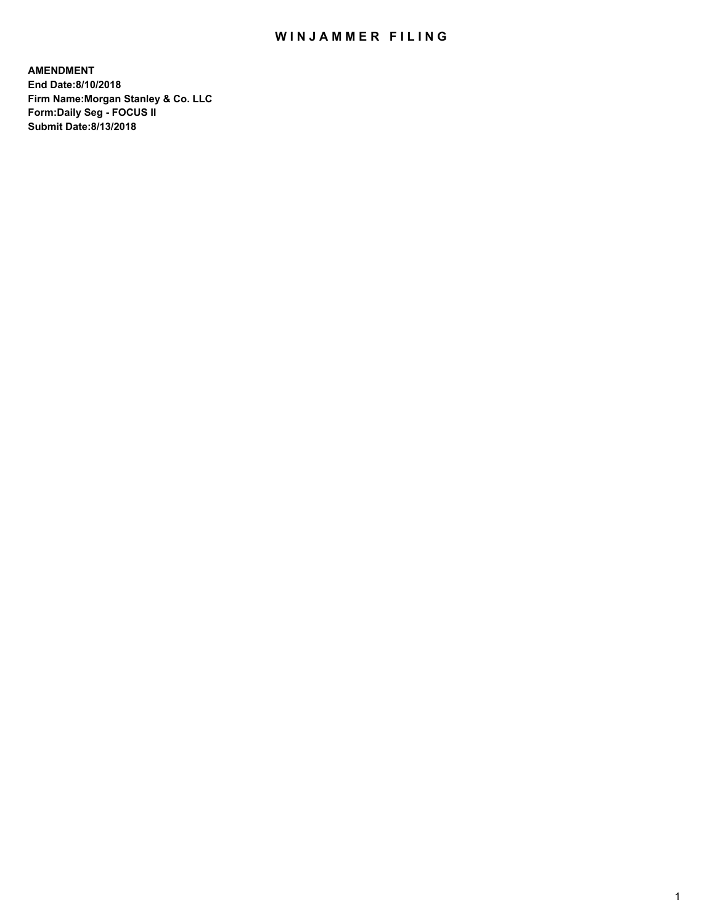## WIN JAMMER FILING

**AMENDMENT End Date:8/10/2018 Firm Name:Morgan Stanley & Co. LLC Form:Daily Seg - FOCUS II Submit Date:8/13/2018**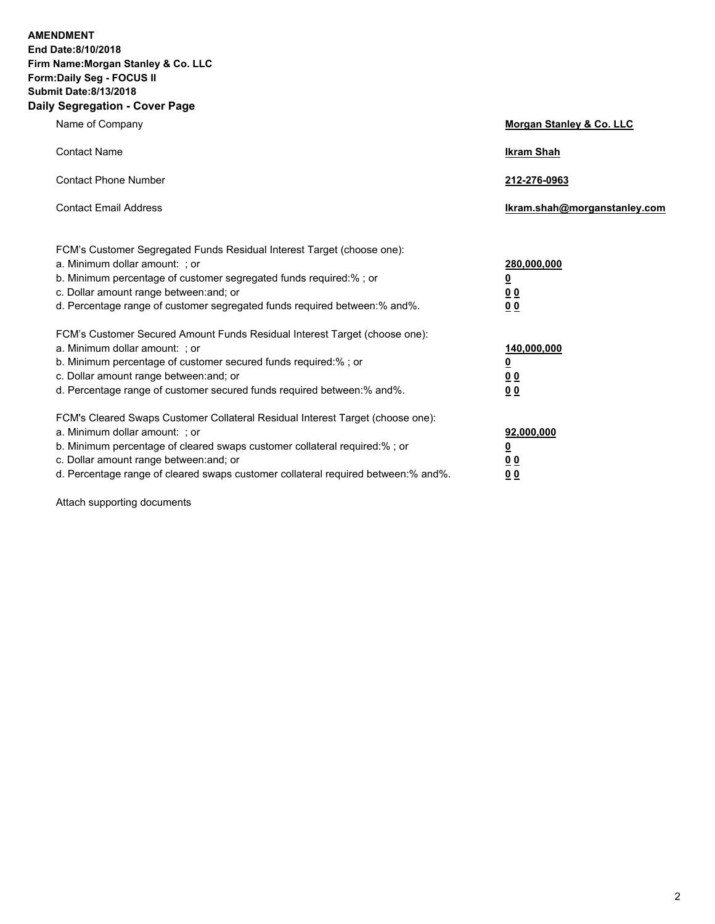**AMENDMENT End Date:8/10/2018 Firm Name:Morgan Stanley & Co. LLC Form:Daily Seg - FOCUS II Submit Date:8/13/2018 Daily Segregation - Cover Page**

| Name of Company                                                                                                                                                                                                                                                                                                                | Morgan Stanley & Co. LLC                        |
|--------------------------------------------------------------------------------------------------------------------------------------------------------------------------------------------------------------------------------------------------------------------------------------------------------------------------------|-------------------------------------------------|
| <b>Contact Name</b>                                                                                                                                                                                                                                                                                                            | <b>Ikram Shah</b>                               |
| <b>Contact Phone Number</b>                                                                                                                                                                                                                                                                                                    | 212-276-0963                                    |
| <b>Contact Email Address</b>                                                                                                                                                                                                                                                                                                   | lkram.shah@morganstanley.com                    |
| FCM's Customer Segregated Funds Residual Interest Target (choose one):<br>a. Minimum dollar amount: ; or<br>b. Minimum percentage of customer segregated funds required:% ; or<br>c. Dollar amount range between: and; or<br>d. Percentage range of customer segregated funds required between:% and%.                         | 280,000,000<br><u>0</u><br><u>00</u><br>00      |
| FCM's Customer Secured Amount Funds Residual Interest Target (choose one):<br>a. Minimum dollar amount: ; or<br>b. Minimum percentage of customer secured funds required:% ; or<br>c. Dollar amount range between: and; or<br>d. Percentage range of customer secured funds required between:% and%.                           | 140,000,000<br><u>0</u><br>00<br>0 <sub>0</sub> |
| FCM's Cleared Swaps Customer Collateral Residual Interest Target (choose one):<br>a. Minimum dollar amount: ; or<br>b. Minimum percentage of cleared swaps customer collateral required:% ; or<br>c. Dollar amount range between: and; or<br>d. Percentage range of cleared swaps customer collateral required between:% and%. | 92,000,000<br><u>0</u><br>0 Q<br>00             |

Attach supporting documents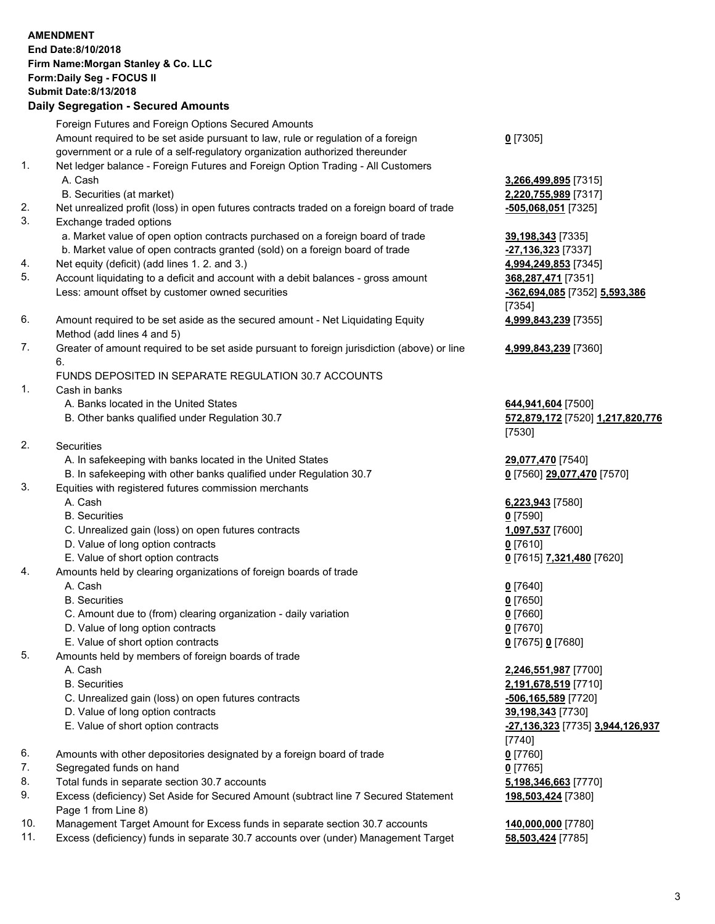|          | <b>AMENDMENT</b><br>End Date:8/10/2018<br>Firm Name: Morgan Stanley & Co. LLC<br>Form: Daily Seg - FOCUS II<br><b>Submit Date: 8/13/2018</b><br><b>Daily Segregation - Secured Amounts</b>                                                          |                                                                                                                    |
|----------|-----------------------------------------------------------------------------------------------------------------------------------------------------------------------------------------------------------------------------------------------------|--------------------------------------------------------------------------------------------------------------------|
|          | Foreign Futures and Foreign Options Secured Amounts                                                                                                                                                                                                 |                                                                                                                    |
| 1.       | Amount required to be set aside pursuant to law, rule or regulation of a foreign<br>government or a rule of a self-regulatory organization authorized thereunder<br>Net ledger balance - Foreign Futures and Foreign Option Trading - All Customers | $0$ [7305]                                                                                                         |
|          | A. Cash<br>B. Securities (at market)                                                                                                                                                                                                                | 3,266,499,895 [7315]<br>2,220,755,989 [7317]                                                                       |
| 2.<br>3. | Net unrealized profit (loss) in open futures contracts traded on a foreign board of trade<br>Exchange traded options                                                                                                                                | <u>-505,068,051</u> [7325]                                                                                         |
| 4.       | a. Market value of open option contracts purchased on a foreign board of trade<br>b. Market value of open contracts granted (sold) on a foreign board of trade<br>Net equity (deficit) (add lines 1.2. and 3.)                                      | 39,198,343 [7335]<br>-27,136,323 [7337]<br>4,994,249,853 [7345]                                                    |
| 5.       | Account liquidating to a deficit and account with a debit balances - gross amount<br>Less: amount offset by customer owned securities                                                                                                               | 368,287,471 [7351]<br>-362,694,085 [7352] 5,593,386<br>[7354]                                                      |
| 6.       | Amount required to be set aside as the secured amount - Net Liquidating Equity<br>Method (add lines 4 and 5)                                                                                                                                        | 4,999,843,239 [7355]                                                                                               |
| 7.       | Greater of amount required to be set aside pursuant to foreign jurisdiction (above) or line<br>6.                                                                                                                                                   | 4,999,843,239 [7360]                                                                                               |
| 1.       | FUNDS DEPOSITED IN SEPARATE REGULATION 30.7 ACCOUNTS<br>Cash in banks                                                                                                                                                                               |                                                                                                                    |
|          | A. Banks located in the United States<br>B. Other banks qualified under Regulation 30.7                                                                                                                                                             | 644,941,604 [7500]<br>572,879,172 [7520] 1,217,820,776<br>[7530]                                                   |
| 2.       | Securities<br>A. In safekeeping with banks located in the United States                                                                                                                                                                             | 29,077,470 [7540]                                                                                                  |
| 3.       | B. In safekeeping with other banks qualified under Regulation 30.7<br>Equities with registered futures commission merchants                                                                                                                         | 0 [7560] 29,077,470 [7570]                                                                                         |
|          | A. Cash<br><b>B.</b> Securities<br>C. Unrealized gain (loss) on open futures contracts                                                                                                                                                              | 6,223,943 [7580]<br>$0$ [7590]<br>1,097,537 [7600]                                                                 |
|          | D. Value of long option contracts<br>E. Value of short option contracts                                                                                                                                                                             | $0$ [7610]<br>0 [7615] 7,321,480 [7620]                                                                            |
| 4.       | Amounts held by clearing organizations of foreign boards of trade<br>A. Cash                                                                                                                                                                        | $0$ [7640]                                                                                                         |
|          | <b>B.</b> Securities<br>C. Amount due to (from) clearing organization - daily variation<br>D. Value of long option contracts                                                                                                                        | $0$ [7650]<br>$0$ [7660]<br>$0$ [7670]                                                                             |
| 5.       | E. Value of short option contracts<br>Amounts held by members of foreign boards of trade<br>A. Cash                                                                                                                                                 | 0 [7675] 0 [7680]<br>2,246,551,987 [7700]                                                                          |
|          | <b>B.</b> Securities<br>C. Unrealized gain (loss) on open futures contracts<br>D. Value of long option contracts<br>E. Value of short option contracts                                                                                              | 2,191,678,519 [7710]<br>$-506, 165, 589$ [7720]<br>39,198,343 [7730]<br>-27,136,323 [7735] 3,944,126,937<br>[7740] |
| 6.       | Amounts with other depositories designated by a foreign board of trade                                                                                                                                                                              | $0$ [7760]                                                                                                         |
| 7.<br>8. | Segregated funds on hand<br>Total funds in separate section 30.7 accounts                                                                                                                                                                           | $0$ [7765]<br>5,198,346,663 [7770]                                                                                 |
| 9.       | Excess (deficiency) Set Aside for Secured Amount (subtract line 7 Secured Statement<br>Page 1 from Line 8)                                                                                                                                          | 198,503,424 [7380]                                                                                                 |
| 10.      | Management Target Amount for Excess funds in separate section 30.7 accounts                                                                                                                                                                         | 140,000,000 [7780]                                                                                                 |

11. Excess (deficiency) funds in separate 30.7 accounts over (under) Management Target **58,503,424** [7785]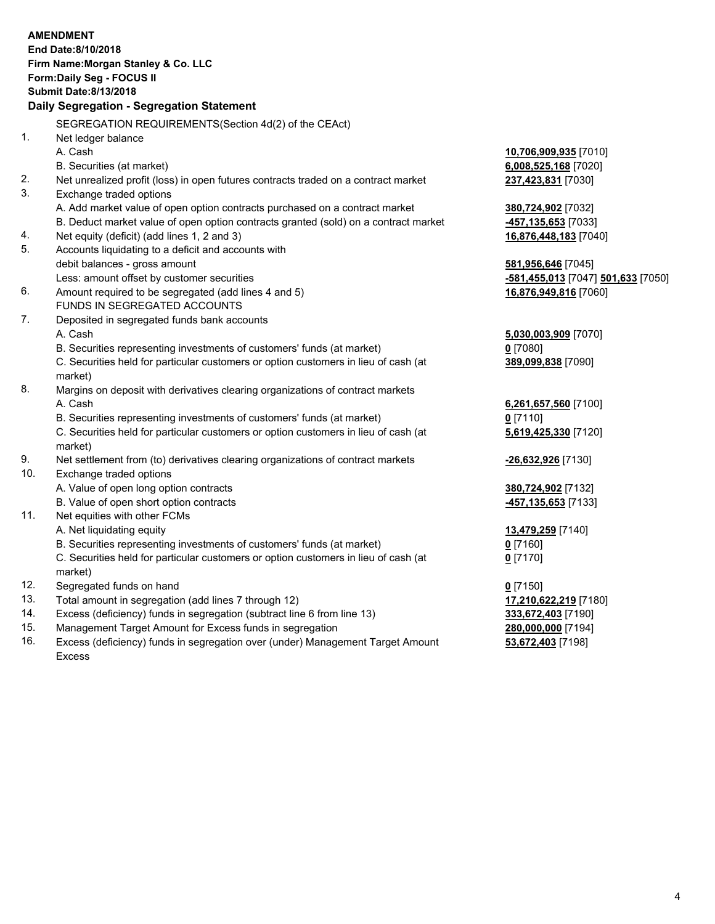|     | <b>AMENDMENT</b>                                                                               |                                                 |
|-----|------------------------------------------------------------------------------------------------|-------------------------------------------------|
|     | End Date: 8/10/2018                                                                            |                                                 |
|     | Firm Name: Morgan Stanley & Co. LLC                                                            |                                                 |
|     | Form: Daily Seg - FOCUS II                                                                     |                                                 |
|     | <b>Submit Date: 8/13/2018</b>                                                                  |                                                 |
|     | Daily Segregation - Segregation Statement                                                      |                                                 |
|     | SEGREGATION REQUIREMENTS(Section 4d(2) of the CEAct)                                           |                                                 |
| 1.  | Net ledger balance                                                                             |                                                 |
|     | A. Cash                                                                                        | 10,706,909,935 [7010]                           |
|     | B. Securities (at market)                                                                      | 6,008,525,168 [7020]                            |
| 2.  | Net unrealized profit (loss) in open futures contracts traded on a contract market             | 237,423,831 [7030]                              |
| 3.  | Exchange traded options                                                                        |                                                 |
|     | A. Add market value of open option contracts purchased on a contract market                    | 380,724,902 [7032]                              |
|     | B. Deduct market value of open option contracts granted (sold) on a contract market            | -457,135,653 [7033]                             |
| 4.  | Net equity (deficit) (add lines 1, 2 and 3)                                                    | 16,876,448,183 [7040]                           |
| 5.  | Accounts liquidating to a deficit and accounts with                                            |                                                 |
|     | debit balances - gross amount                                                                  | 581,956,646 [7045]                              |
|     | Less: amount offset by customer securities                                                     | <mark>-581,455,013</mark> [7047] 501,633 [7050] |
| 6.  | Amount required to be segregated (add lines 4 and 5)                                           | 16,876,949,816 [7060]                           |
|     | FUNDS IN SEGREGATED ACCOUNTS                                                                   |                                                 |
| 7.  | Deposited in segregated funds bank accounts                                                    |                                                 |
|     | A. Cash                                                                                        | 5,030,003,909 [7070]                            |
|     | B. Securities representing investments of customers' funds (at market)                         | $0$ [7080]                                      |
|     | C. Securities held for particular customers or option customers in lieu of cash (at<br>market) | 389,099,838 [7090]                              |
| 8.  | Margins on deposit with derivatives clearing organizations of contract markets                 |                                                 |
|     | A. Cash                                                                                        | 6,261,657,560 [7100]                            |
|     | B. Securities representing investments of customers' funds (at market)                         | $0$ [7110]                                      |
|     | C. Securities held for particular customers or option customers in lieu of cash (at<br>market) | 5,619,425,330 [7120]                            |
| 9.  | Net settlement from (to) derivatives clearing organizations of contract markets                | -26,632,926 [7130]                              |
| 10. | Exchange traded options                                                                        |                                                 |
|     | A. Value of open long option contracts                                                         | 380,724,902 [7132]                              |
|     | B. Value of open short option contracts                                                        | -457,135,653 [7133]                             |
| 11. | Net equities with other FCMs                                                                   |                                                 |
|     | A. Net liquidating equity                                                                      | 13,479,259 [7140]                               |
|     | B. Securities representing investments of customers' funds (at market)                         | $0$ [7160]                                      |
|     | C. Securities held for particular customers or option customers in lieu of cash (at            | $0$ [7170]                                      |
|     | market)                                                                                        |                                                 |
| 12. | Segregated funds on hand                                                                       | $0$ [7150]                                      |
| 13. | Total amount in segregation (add lines 7 through 12)                                           | 17,210,622,219 [7180]                           |
| 14. | Excess (deficiency) funds in segregation (subtract line 6 from line 13)                        | 333,672,403 [7190]                              |
| 15. | Management Target Amount for Excess funds in segregation                                       | 280,000,000 [7194]                              |

16. Excess (deficiency) funds in segregation over (under) Management Target Amount Excess

**53,672,403** [7198]